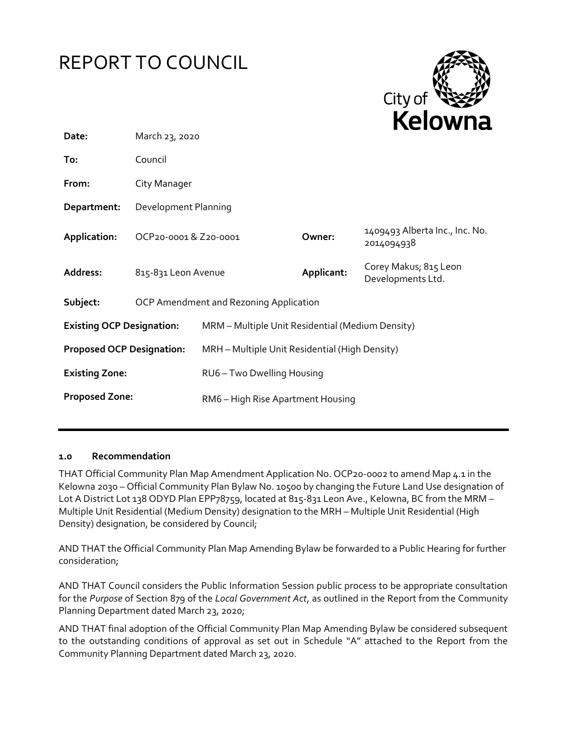



| Date:                            | March 23, 2020                         |                                                  |            |                                              |  |
|----------------------------------|----------------------------------------|--------------------------------------------------|------------|----------------------------------------------|--|
| To:                              | Council                                |                                                  |            |                                              |  |
| From:                            | City Manager                           |                                                  |            |                                              |  |
| Department:                      | Development Planning                   |                                                  |            |                                              |  |
| Application:                     | OCP20-0001& Z20-0001                   |                                                  | Owner:     | 1409493 Alberta Inc., Inc. No.<br>2014094938 |  |
| Address:                         | 815-831 Leon Avenue                    |                                                  | Applicant: | Corey Makus; 815 Leon<br>Developments Ltd.   |  |
| Subject:                         | OCP Amendment and Rezoning Application |                                                  |            |                                              |  |
| <b>Existing OCP Designation:</b> |                                        | MRM - Multiple Unit Residential (Medium Density) |            |                                              |  |
| <b>Proposed OCP Designation:</b> |                                        | MRH - Multiple Unit Residential (High Density)   |            |                                              |  |
| <b>Existing Zone:</b>            |                                        | RU6 - Two Dwelling Housing                       |            |                                              |  |
| <b>Proposed Zone:</b>            |                                        | RM6 - High Rise Apartment Housing                |            |                                              |  |

## **1.0 Recommendation**

THAT Official Community Plan Map Amendment Application No. OCP20-0002 to amend Map 4.1 in the Kelowna 2030 – Official Community Plan Bylaw No. 10500 by changing the Future Land Use designation of Lot A District Lot 138 ODYD Plan EPP78759, located at 815-831 Leon Ave., Kelowna, BC from the MRM -Multiple Unit Residential (Medium Density) designation to the MRH – Multiple Unit Residential (High Density) designation, be considered by Council;

AND THAT the Official Community Plan Map Amending Bylaw be forwarded to a Public Hearing for further consideration;

AND THAT Council considers the Public Information Session public process to be appropriate consultation for the *Purpose* of Section 879 of the *Local Government Act*, as outlined in the Report from the Community Planning Department dated March 23, 2020;

AND THAT final adoption of the Official Community Plan Map Amending Bylaw be considered subsequent to the outstanding conditions of approval as set out in Schedule "A" attached to the Report from the Community Planning Department dated March 23, 2020.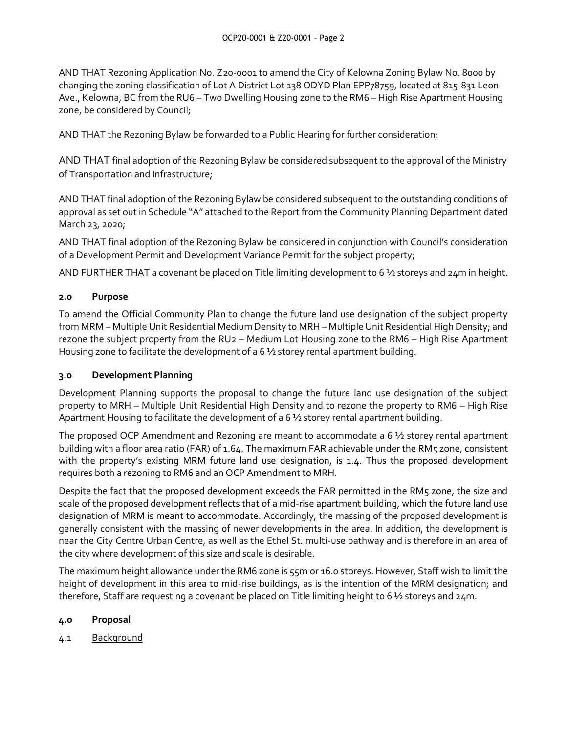AND THAT Rezoning Application No. Z20-0001 to amend the City of Kelowna Zoning Bylaw No. 8000 by changing the zoning classification of Lot A District Lot 138 ODYD Plan EPP78759, located at 815-831 Leon Ave., Kelowna, BC from the RU6 – Two Dwelling Housing zone to the RM6 – High Rise Apartment Housing zone, be considered by Council;

AND THAT the Rezoning Bylaw be forwarded to a Public Hearing for further consideration;

AND THAT final adoption of the Rezoning Bylaw be considered subsequent to the approval of the Ministry of Transportation and Infrastructure;

AND THAT final adoption of the Rezoning Bylaw be considered subsequent to the outstanding conditions of approval as set out in Schedule "A" attached to the Report from the Community Planning Department dated March 23, 2020;

AND THAT final adoption of the Rezoning Bylaw be considered in conjunction with Council's consideration of a Development Permit and Development Variance Permit for the subject property;

AND FURTHER THAT a covenant be placed on Title limiting development to 6 ½ storeys and 24m in height.

## **2.0 Purpose**

To amend the Official Community Plan to change the future land use designation of the subject property from MRM – Multiple Unit Residential Medium Density to MRH – Multiple Unit Residential High Density; and rezone the subject property from the RU2 – Medium Lot Housing zone to the RM6 – High Rise Apartment Housing zone to facilitate the development of a 6 ½ storey rental apartment building.

## **3.0 Development Planning**

Development Planning supports the proposal to change the future land use designation of the subject property to MRH – Multiple Unit Residential High Density and to rezone the property to RM6 – High Rise Apartment Housing to facilitate the development of a 6 ½ storey rental apartment building.

The proposed OCP Amendment and Rezoning are meant to accommodate a 6 ½ storey rental apartment building with a floor area ratio (FAR) of 1.64. The maximum FAR achievable under the RM5 zone, consistent with the property's existing MRM future land use designation, is 1.4. Thus the proposed development requires both a rezoning to RM6 and an OCP Amendment to MRH.

Despite the fact that the proposed development exceeds the FAR permitted in the RM5 zone, the size and scale of the proposed development reflects that of a mid-rise apartment building, which the future land use designation of MRM is meant to accommodate. Accordingly, the massing of the proposed development is generally consistent with the massing of newer developments in the area. In addition, the development is near the City Centre Urban Centre, as well as the Ethel St. multi-use pathway and is therefore in an area of the city where development of this size and scale is desirable.

The maximum height allowance under the RM6 zone is 55m or 16.0 storeys. However, Staff wish to limit the height of development in this area to mid-rise buildings, as is the intention of the MRM designation; and therefore, Staff are requesting a covenant be placed on Title limiting height to 6 ½ storeys and 24m.

## **4.0 Proposal**

4.1 Background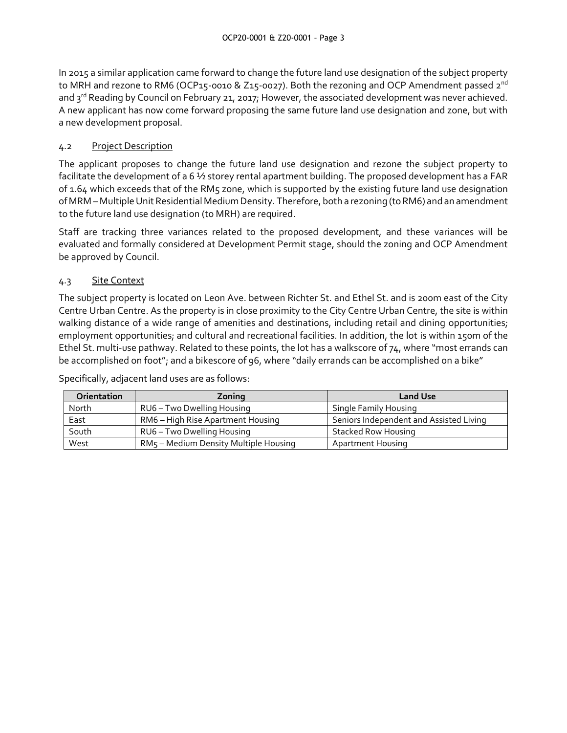In 2015 a similar application came forward to change the future land use designation of the subject property to MRH and rezone to RM6 (OCP15-0010 & Z15-0027). Both the rezoning and OCP Amendment passed  $2^{nd}$ and 3<sup>rd</sup> Reading by Council on February 21, 2017; However, the associated development was never achieved. A new applicant has now come forward proposing the same future land use designation and zone, but with a new development proposal.

# 4.2 Project Description

The applicant proposes to change the future land use designation and rezone the subject property to facilitate the development of a 6 ½ storey rental apartment building. The proposed development has a FAR of 1.64 which exceeds that of the RM5 zone, which is supported by the existing future land use designation of MRM – Multiple Unit Residential Medium Density. Therefore, both a rezoning (to RM6) and an amendment to the future land use designation (to MRH) are required.

Staff are tracking three variances related to the proposed development, and these variances will be evaluated and formally considered at Development Permit stage, should the zoning and OCP Amendment be approved by Council.

# 4.3 Site Context

The subject property is located on Leon Ave. between Richter St. and Ethel St. and is 200m east of the City Centre Urban Centre. As the property is in close proximity to the City Centre Urban Centre, the site is within walking distance of a wide range of amenities and destinations, including retail and dining opportunities; employment opportunities; and cultural and recreational facilities. In addition, the lot is within 150m of the Ethel St. multi-use pathway. Related to these points, the lot has a walkscore of 74, where "most errands can be accomplished on foot"; and a bikescore of 96, where "daily errands can be accomplished on a bike"

Specifically, adjacent land uses are as follows:

| <b>Orientation</b> | Zoning                                | <b>Land Use</b>                         |
|--------------------|---------------------------------------|-----------------------------------------|
| North              | RU6 - Two Dwelling Housing            | <b>Single Family Housing</b>            |
| East               | RM6 – High Rise Apartment Housing     | Seniors Independent and Assisted Living |
| South              | RU6 - Two Dwelling Housing            | Stacked Row Housing                     |
| West               | RM5 - Medium Density Multiple Housing | Apartment Housing                       |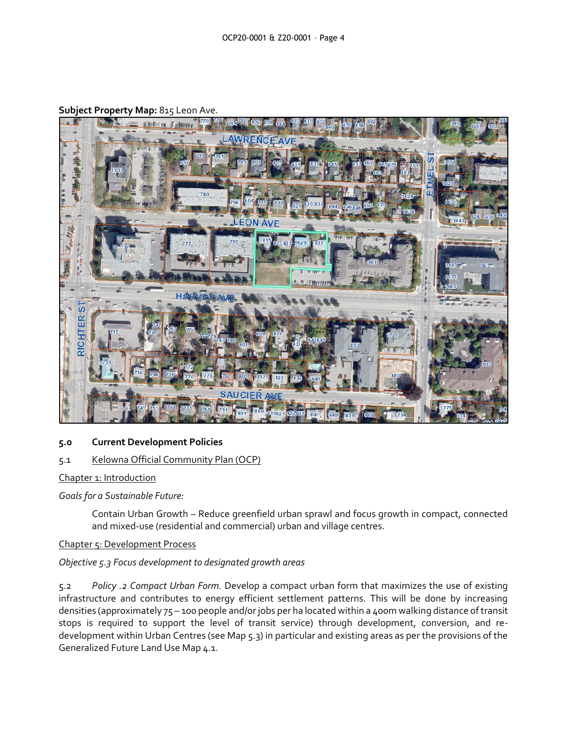

**Subject Property Map:** 815 Leon Ave.

## **5.0 Current Development Policies**

#### 5.1 Kelowna Official Community Plan (OCP)

Chapter 1: Introduction

*Goals for a Sustainable Future:*

Contain Urban Growth – Reduce greenfield urban sprawl and focus growth in compact, connected and mixed-use (residential and commercial) urban and village centres.

Chapter 5: Development Process

## *Objective 5.3 Focus development to designated growth areas*

5.2 *Policy .2 Compact Urban Form.* Develop a compact urban form that maximizes the use of existing infrastructure and contributes to energy efficient settlement patterns. This will be done by increasing densities (approximately 75 – 100 people and/or jobs per ha located within a 400m walking distance of transit stops is required to support the level of transit service) through development, conversion, and redevelopment within Urban Centres (see Map 5.3) in particular and existing areas as per the provisions of the Generalized Future Land Use Map 4.1.